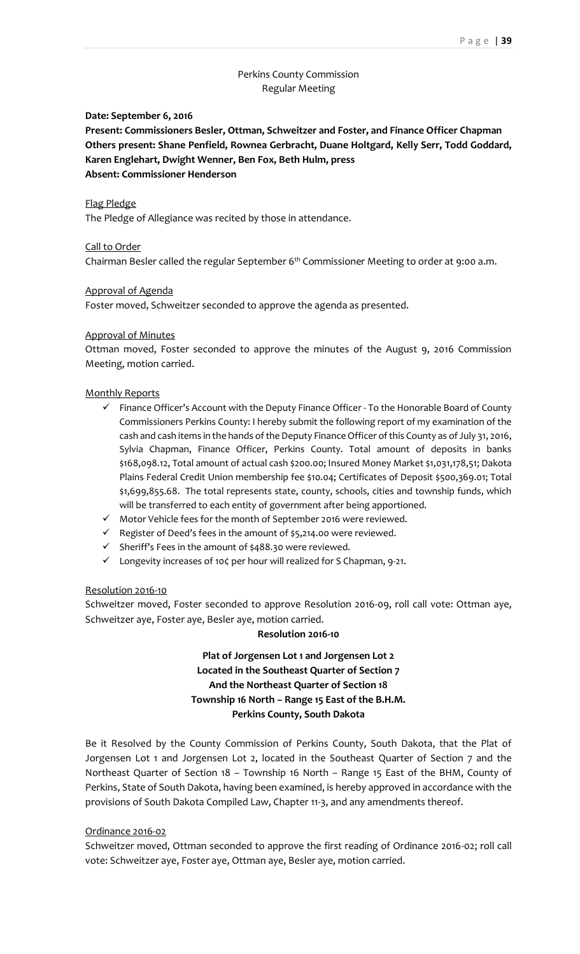# Perkins County Commission Regular Meeting

## **Date: September 6, 2016**

**Present: Commissioners Besler, Ottman, Schweitzer and Foster, and Finance Officer Chapman Others present: Shane Penfield, Rownea Gerbracht, Duane Holtgard, Kelly Serr, Todd Goddard, Karen Englehart, Dwight Wenner, Ben Fox, Beth Hulm, press Absent: Commissioner Henderson**

## Flag Pledge

The Pledge of Allegiance was recited by those in attendance.

## Call to Order

Chairman Besler called the regular September 6<sup>th</sup> Commissioner Meeting to order at 9:00 a.m.

## Approval of Agenda

Foster moved, Schweitzer seconded to approve the agenda as presented.

## Approval of Minutes

Ottman moved, Foster seconded to approve the minutes of the August 9, 2016 Commission Meeting, motion carried.

## Monthly Reports

- $\checkmark$  Finance Officer's Account with the Deputy Finance Officer To the Honorable Board of County Commissioners Perkins County: I hereby submit the following report of my examination of the cash and cash items in the hands of the Deputy Finance Officer of this County as of July 31, 2016, Sylvia Chapman, Finance Officer, Perkins County. Total amount of deposits in banks \$168,098.12, Total amount of actual cash \$200.00; Insured Money Market \$1,031,178,51; Dakota Plains Federal Credit Union membership fee \$10.04; Certificates of Deposit \$500,369.01; Total \$1,699,855.68. The total represents state, county, schools, cities and township funds, which will be transferred to each entity of government after being apportioned.
- $\checkmark$  Motor Vehicle fees for the month of September 2016 were reviewed.
- $\checkmark$  Register of Deed's fees in the amount of \$5,214.00 were reviewed.
- $\checkmark$  Sheriff's Fees in the amount of \$488.30 were reviewed.
- Longevity increases of 10¢ per hour will realized for S Chapman, 9-21.

## Resolution 2016-10

Schweitzer moved, Foster seconded to approve Resolution 2016-09, roll call vote: Ottman aye, Schweitzer aye, Foster aye, Besler aye, motion carried.

## **Resolution 2016-10**

# **Plat of Jorgensen Lot 1 and Jorgensen Lot 2 Located in the Southeast Quarter of Section 7 And the Northeast Quarter of Section 18 Township 16 North – Range 15 East of the B.H.M. Perkins County, South Dakota**

Be it Resolved by the County Commission of Perkins County, South Dakota, that the Plat of Jorgensen Lot 1 and Jorgensen Lot 2, located in the Southeast Quarter of Section 7 and the Northeast Quarter of Section 18 – Township 16 North – Range 15 East of the BHM, County of Perkins, State of South Dakota, having been examined, is hereby approved in accordance with the provisions of South Dakota Compiled Law, Chapter 11-3, and any amendments thereof.

## Ordinance 2016-02

Schweitzer moved, Ottman seconded to approve the first reading of Ordinance 2016-02; roll call vote: Schweitzer aye, Foster aye, Ottman aye, Besler aye, motion carried.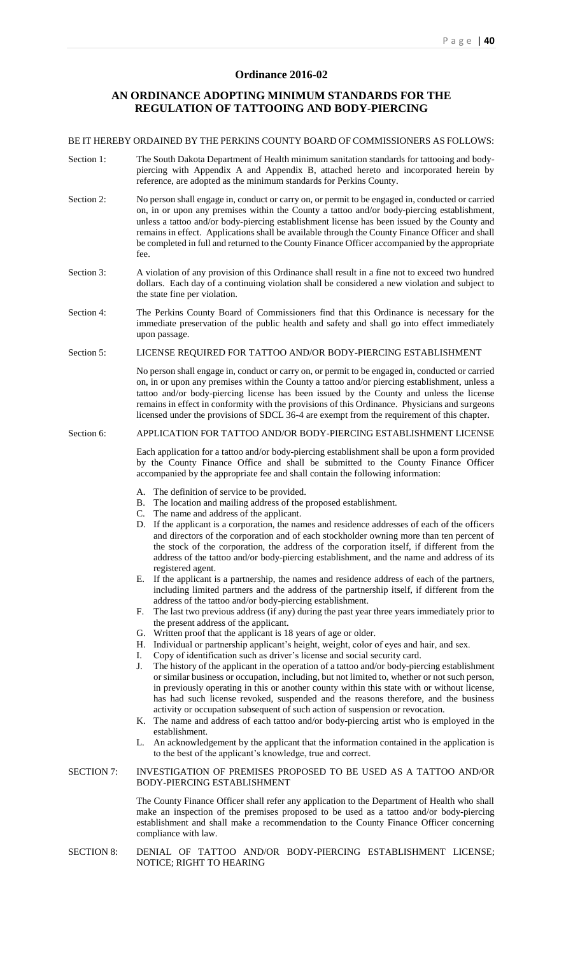# **Ordinance 2016-02**

# **AN ORDINANCE ADOPTING MINIMUM STANDARDS FOR THE REGULATION OF TATTOOING AND BODY-PIERCING**

## BE IT HEREBY ORDAINED BY THE PERKINS COUNTY BOARD OF COMMISSIONERS AS FOLLOWS:

- Section 1: The South Dakota Department of Health minimum sanitation standards for tattooing and bodypiercing with Appendix A and Appendix B, attached hereto and incorporated herein by reference, are adopted as the minimum standards for Perkins County.
- Section 2: No person shall engage in, conduct or carry on, or permit to be engaged in, conducted or carried on, in or upon any premises within the County a tattoo and/or body-piercing establishment, unless a tattoo and/or body-piercing establishment license has been issued by the County and remains in effect. Applications shall be available through the County Finance Officer and shall be completed in full and returned to the County Finance Officer accompanied by the appropriate fee.
- Section 3: A violation of any provision of this Ordinance shall result in a fine not to exceed two hundred dollars. Each day of a continuing violation shall be considered a new violation and subject to the state fine per violation.
- Section 4: The Perkins County Board of Commissioners find that this Ordinance is necessary for the immediate preservation of the public health and safety and shall go into effect immediately upon passage.

## Section 5: LICENSE REQUIRED FOR TATTOO AND/OR BODY-PIERCING ESTABLISHMENT

No person shall engage in, conduct or carry on, or permit to be engaged in, conducted or carried on, in or upon any premises within the County a tattoo and/or piercing establishment, unless a tattoo and/or body-piercing license has been issued by the County and unless the license remains in effect in conformity with the provisions of this Ordinance. Physicians and surgeons licensed under the provisions of SDCL 36-4 are exempt from the requirement of this chapter.

## Section 6: APPLICATION FOR TATTOO AND/OR BODY-PIERCING ESTABLISHMENT LICENSE

Each application for a tattoo and/or body-piercing establishment shall be upon a form provided by the County Finance Office and shall be submitted to the County Finance Officer accompanied by the appropriate fee and shall contain the following information:

- A. The definition of service to be provided.
- B. The location and mailing address of the proposed establishment.
- C. The name and address of the applicant.
- D. If the applicant is a corporation, the names and residence addresses of each of the officers and directors of the corporation and of each stockholder owning more than ten percent of the stock of the corporation, the address of the corporation itself, if different from the address of the tattoo and/or body-piercing establishment, and the name and address of its registered agent.
- E. If the applicant is a partnership, the names and residence address of each of the partners, including limited partners and the address of the partnership itself, if different from the address of the tattoo and/or body-piercing establishment.
- F. The last two previous address (if any) during the past year three years immediately prior to the present address of the applicant.
- G. Written proof that the applicant is 18 years of age or older.
- H. Individual or partnership applicant's height, weight, color of eyes and hair, and sex.
- I. Copy of identification such as driver's license and social security card.
- J. The history of the applicant in the operation of a tattoo and/or body-piercing establishment or similar business or occupation, including, but not limited to, whether or not such person, in previously operating in this or another county within this state with or without license, has had such license revoked, suspended and the reasons therefore, and the business activity or occupation subsequent of such action of suspension or revocation.
- K. The name and address of each tattoo and/or body-piercing artist who is employed in the establishment.
- L. An acknowledgement by the applicant that the information contained in the application is to the best of the applicant's knowledge, true and correct.

#### SECTION 7: INVESTIGATION OF PREMISES PROPOSED TO BE USED AS A TATTOO AND/OR BODY-PIERCING ESTABLISHMENT

The County Finance Officer shall refer any application to the Department of Health who shall make an inspection of the premises proposed to be used as a tattoo and/or body-piercing establishment and shall make a recommendation to the County Finance Officer concerning compliance with law.

## SECTION 8: DENIAL OF TATTOO AND/OR BODY-PIERCING ESTABLISHMENT LICENSE; NOTICE; RIGHT TO HEARING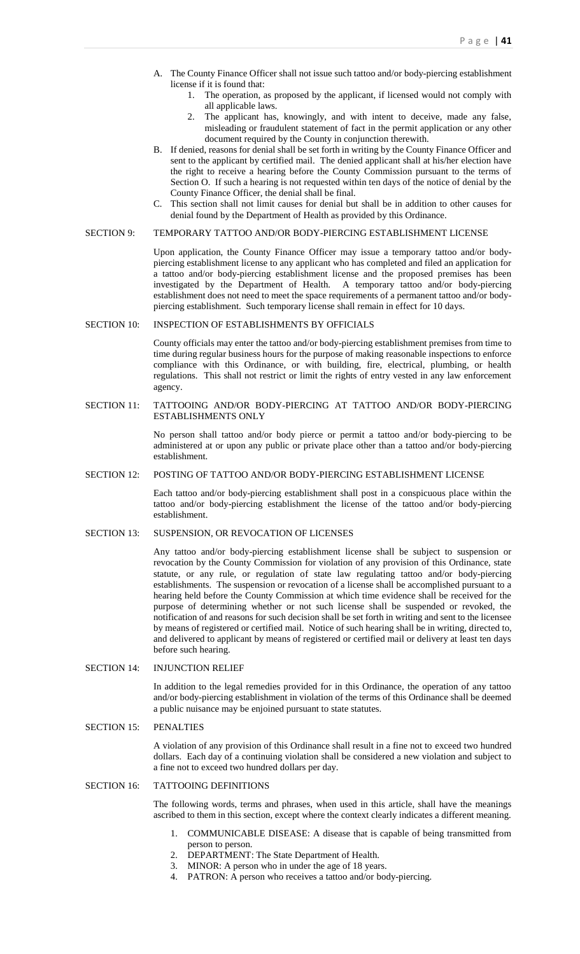- A. The County Finance Officer shall not issue such tattoo and/or body-piercing establishment license if it is found that:
	- 1. The operation, as proposed by the applicant, if licensed would not comply with all applicable laws.
	- 2. The applicant has, knowingly, and with intent to deceive, made any false, misleading or fraudulent statement of fact in the permit application or any other document required by the County in conjunction therewith.
- B. If denied, reasons for denial shall be set forth in writing by the County Finance Officer and sent to the applicant by certified mail. The denied applicant shall at his/her election have the right to receive a hearing before the County Commission pursuant to the terms of Section O. If such a hearing is not requested within ten days of the notice of denial by the County Finance Officer, the denial shall be final.
- C. This section shall not limit causes for denial but shall be in addition to other causes for denial found by the Department of Health as provided by this Ordinance.

#### SECTION 9: TEMPORARY TATTOO AND/OR BODY-PIERCING ESTABLISHMENT LICENSE

Upon application, the County Finance Officer may issue a temporary tattoo and/or bodypiercing establishment license to any applicant who has completed and filed an application for a tattoo and/or body-piercing establishment license and the proposed premises has been investigated by the Department of Health. A temporary tattoo and/or body-piercing establishment does not need to meet the space requirements of a permanent tattoo and/or bodypiercing establishment. Such temporary license shall remain in effect for 10 days.

#### SECTION 10: INSPECTION OF ESTABLISHMENTS BY OFFICIALS

County officials may enter the tattoo and/or body-piercing establishment premises from time to time during regular business hours for the purpose of making reasonable inspections to enforce compliance with this Ordinance, or with building, fire, electrical, plumbing, or health regulations. This shall not restrict or limit the rights of entry vested in any law enforcement agency.

SECTION 11: TATTOOING AND/OR BODY-PIERCING AT TATTOO AND/OR BODY-PIERCING ESTABLISHMENTS ONLY

> No person shall tattoo and/or body pierce or permit a tattoo and/or body-piercing to be administered at or upon any public or private place other than a tattoo and/or body-piercing establishment.

## SECTION 12: POSTING OF TATTOO AND/OR BODY-PIERCING ESTABLISHMENT LICENSE

Each tattoo and/or body-piercing establishment shall post in a conspicuous place within the tattoo and/or body-piercing establishment the license of the tattoo and/or body-piercing establishment.

## SECTION 13: SUSPENSION, OR REVOCATION OF LICENSES

Any tattoo and/or body-piercing establishment license shall be subject to suspension or revocation by the County Commission for violation of any provision of this Ordinance, state statute, or any rule, or regulation of state law regulating tattoo and/or body-piercing establishments. The suspension or revocation of a license shall be accomplished pursuant to a hearing held before the County Commission at which time evidence shall be received for the purpose of determining whether or not such license shall be suspended or revoked, the notification of and reasons for such decision shall be set forth in writing and sent to the licensee by means of registered or certified mail. Notice of such hearing shall be in writing, directed to, and delivered to applicant by means of registered or certified mail or delivery at least ten days before such hearing.

## SECTION 14: INJUNCTION RELIEF

In addition to the legal remedies provided for in this Ordinance, the operation of any tattoo and/or body-piercing establishment in violation of the terms of this Ordinance shall be deemed a public nuisance may be enjoined pursuant to state statutes.

#### SECTION 15: PENALTIES

A violation of any provision of this Ordinance shall result in a fine not to exceed two hundred dollars. Each day of a continuing violation shall be considered a new violation and subject to a fine not to exceed two hundred dollars per day.

## SECTION 16: TATTOOING DEFINITIONS

The following words, terms and phrases, when used in this article, shall have the meanings ascribed to them in this section, except where the context clearly indicates a different meaning.

- 1. COMMUNICABLE DISEASE: A disease that is capable of being transmitted from person to person.
- 2. DEPARTMENT: The State Department of Health.
- 3. MINOR: A person who in under the age of 18 years.
- 4. PATRON: A person who receives a tattoo and/or body-piercing.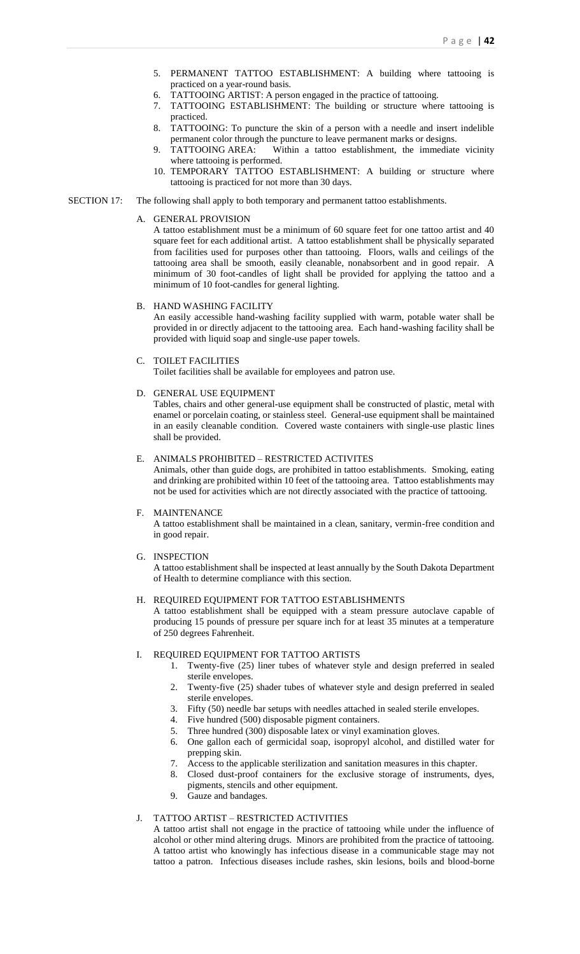- 5. PERMANENT TATTOO ESTABLISHMENT: A building where tattooing is practiced on a year-round basis.
- 6. TATTOOING ARTIST: A person engaged in the practice of tattooing.
- 7. TATTOOING ESTABLISHMENT: The building or structure where tattooing is practiced.
- 8. TATTOOING: To puncture the skin of a person with a needle and insert indelible permanent color through the puncture to leave permanent marks or designs.
- TATTOOING AREA: Within a tattoo establishment, the immediate vicinity where tattooing is performed.
- 10. TEMPORARY TATTOO ESTABLISHMENT: A building or structure where tattooing is practiced for not more than 30 days.
- SECTION 17: The following shall apply to both temporary and permanent tattoo establishments.

## A. GENERAL PROVISION

A tattoo establishment must be a minimum of 60 square feet for one tattoo artist and 40 square feet for each additional artist. A tattoo establishment shall be physically separated from facilities used for purposes other than tattooing. Floors, walls and ceilings of the tattooing area shall be smooth, easily cleanable, nonabsorbent and in good repair. A minimum of 30 foot-candles of light shall be provided for applying the tattoo and a minimum of 10 foot-candles for general lighting.

#### B. HAND WASHING FACILITY

An easily accessible hand-washing facility supplied with warm, potable water shall be provided in or directly adjacent to the tattooing area. Each hand-washing facility shall be provided with liquid soap and single-use paper towels.

C. TOILET FACILITIES Toilet facilities shall be available for employees and patron use.

#### D. GENERAL USE EQUIPMENT

Tables, chairs and other general-use equipment shall be constructed of plastic, metal with enamel or porcelain coating, or stainless steel. General-use equipment shall be maintained in an easily cleanable condition. Covered waste containers with single-use plastic lines shall be provided.

#### E. ANIMALS PROHIBITED – RESTRICTED ACTIVITES

Animals, other than guide dogs, are prohibited in tattoo establishments. Smoking, eating and drinking are prohibited within 10 feet of the tattooing area. Tattoo establishments may not be used for activities which are not directly associated with the practice of tattooing.

## F. MAINTENANCE

A tattoo establishment shall be maintained in a clean, sanitary, vermin-free condition and in good repair.

G. INSPECTION

A tattoo establishment shall be inspected at least annually by the South Dakota Department of Health to determine compliance with this section.

#### H. REQUIRED EQUIPMENT FOR TATTOO ESTABLISHMENTS

A tattoo establishment shall be equipped with a steam pressure autoclave capable of producing 15 pounds of pressure per square inch for at least 35 minutes at a temperature of 250 degrees Fahrenheit.

#### REQUIRED EQUIPMENT FOR TATTOO ARTISTS

- 1. Twenty-five (25) liner tubes of whatever style and design preferred in sealed sterile envelopes.
- 2. Twenty-five (25) shader tubes of whatever style and design preferred in sealed sterile envelopes.
- 3. Fifty (50) needle bar setups with needles attached in sealed sterile envelopes.
- 4. Five hundred (500) disposable pigment containers.
- 5. Three hundred (300) disposable latex or vinyl examination gloves.
- 6. One gallon each of germicidal soap, isopropyl alcohol, and distilled water for prepping skin.
- 7. Access to the applicable sterilization and sanitation measures in this chapter.
- 8. Closed dust-proof containers for the exclusive storage of instruments, dyes, pigments, stencils and other equipment.
- 9. Gauze and bandages.

## J. TATTOO ARTIST – RESTRICTED ACTIVITIES

A tattoo artist shall not engage in the practice of tattooing while under the influence of alcohol or other mind altering drugs. Minors are prohibited from the practice of tattooing. A tattoo artist who knowingly has infectious disease in a communicable stage may not tattoo a patron. Infectious diseases include rashes, skin lesions, boils and blood-borne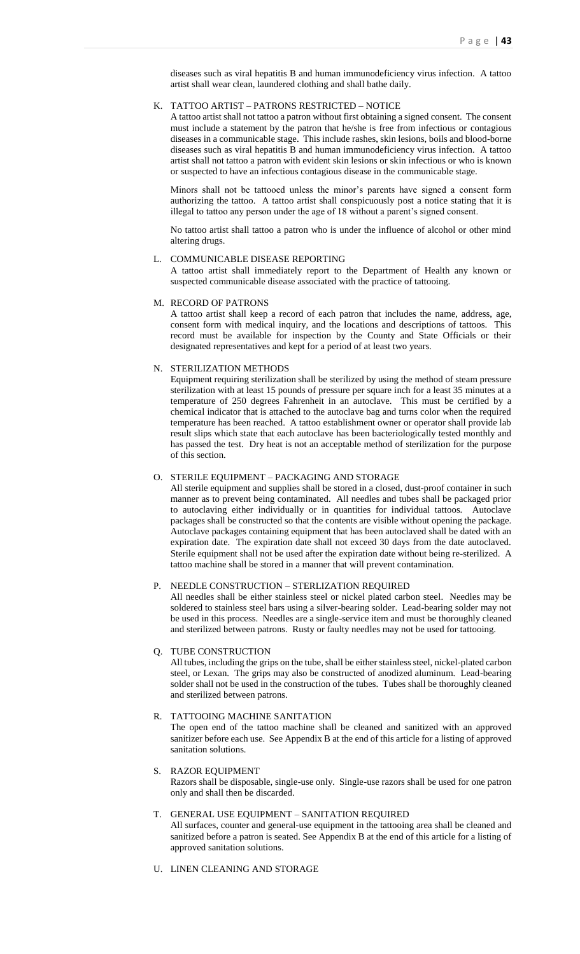diseases such as viral hepatitis B and human immunodeficiency virus infection. A tattoo artist shall wear clean, laundered clothing and shall bathe daily.

#### K. TATTOO ARTIST – PATRONS RESTRICTED – NOTICE

A tattoo artist shall not tattoo a patron without first obtaining a signed consent. The consent must include a statement by the patron that he/she is free from infectious or contagious diseases in a communicable stage. This include rashes, skin lesions, boils and blood-borne diseases such as viral hepatitis B and human immunodeficiency virus infection. A tattoo artist shall not tattoo a patron with evident skin lesions or skin infectious or who is known or suspected to have an infectious contagious disease in the communicable stage.

Minors shall not be tattooed unless the minor's parents have signed a consent form authorizing the tattoo. A tattoo artist shall conspicuously post a notice stating that it is illegal to tattoo any person under the age of 18 without a parent's signed consent.

No tattoo artist shall tattoo a patron who is under the influence of alcohol or other mind altering drugs.

#### L. COMMUNICABLE DISEASE REPORTING

A tattoo artist shall immediately report to the Department of Health any known or suspected communicable disease associated with the practice of tattooing.

## M. RECORD OF PATRONS

A tattoo artist shall keep a record of each patron that includes the name, address, age, consent form with medical inquiry, and the locations and descriptions of tattoos. This record must be available for inspection by the County and State Officials or their designated representatives and kept for a period of at least two years.

## N. STERILIZATION METHODS

Equipment requiring sterilization shall be sterilized by using the method of steam pressure sterilization with at least 15 pounds of pressure per square inch for a least 35 minutes at a temperature of 250 degrees Fahrenheit in an autoclave. This must be certified by a chemical indicator that is attached to the autoclave bag and turns color when the required temperature has been reached. A tattoo establishment owner or operator shall provide lab result slips which state that each autoclave has been bacteriologically tested monthly and has passed the test. Dry heat is not an acceptable method of sterilization for the purpose of this section.

#### O. STERILE EQUIPMENT – PACKAGING AND STORAGE

All sterile equipment and supplies shall be stored in a closed, dust-proof container in such manner as to prevent being contaminated. All needles and tubes shall be packaged prior to autoclaving either individually or in quantities for individual tattoos. Autoclave packages shall be constructed so that the contents are visible without opening the package. Autoclave packages containing equipment that has been autoclaved shall be dated with an expiration date. The expiration date shall not exceed 30 days from the date autoclaved. Sterile equipment shall not be used after the expiration date without being re-sterilized. A tattoo machine shall be stored in a manner that will prevent contamination.

## P. NEEDLE CONSTRUCTION – STERLIZATION REQUIRED

All needles shall be either stainless steel or nickel plated carbon steel. Needles may be soldered to stainless steel bars using a silver-bearing solder. Lead-bearing solder may not be used in this process. Needles are a single-service item and must be thoroughly cleaned and sterilized between patrons. Rusty or faulty needles may not be used for tattooing.

## Q. TUBE CONSTRUCTION

All tubes, including the grips on the tube, shall be either stainless steel, nickel-plated carbon steel, or Lexan. The grips may also be constructed of anodized aluminum. Lead-bearing solder shall not be used in the construction of the tubes. Tubes shall be thoroughly cleaned and sterilized between patrons.

## R. TATTOOING MACHINE SANITATION

The open end of the tattoo machine shall be cleaned and sanitized with an approved sanitizer before each use. See Appendix B at the end of this article for a listing of approved sanitation solutions.

#### S. RAZOR EQUIPMENT

Razors shall be disposable, single-use only. Single-use razors shall be used for one patron only and shall then be discarded.

#### T. GENERAL USE EQUIPMENT – SANITATION REQUIRED

All surfaces, counter and general-use equipment in the tattooing area shall be cleaned and sanitized before a patron is seated. See Appendix B at the end of this article for a listing of approved sanitation solutions.

U. LINEN CLEANING AND STORAGE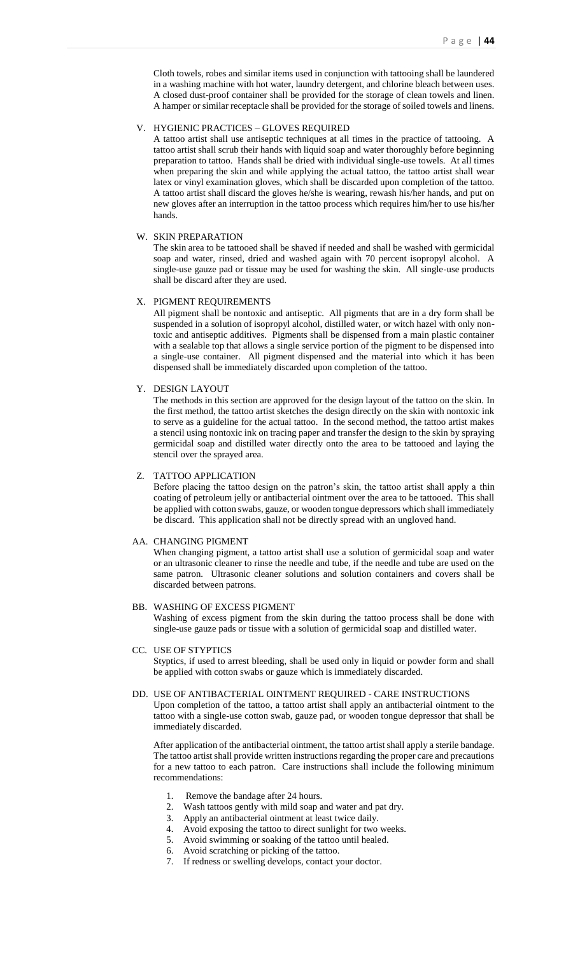Cloth towels, robes and similar items used in conjunction with tattooing shall be laundered in a washing machine with hot water, laundry detergent, and chlorine bleach between uses. A closed dust-proof container shall be provided for the storage of clean towels and linen. A hamper or similar receptacle shall be provided for the storage of soiled towels and linens.

## V. HYGIENIC PRACTICES – GLOVES REQUIRED

A tattoo artist shall use antiseptic techniques at all times in the practice of tattooing. A tattoo artist shall scrub their hands with liquid soap and water thoroughly before beginning preparation to tattoo. Hands shall be dried with individual single-use towels. At all times when preparing the skin and while applying the actual tattoo, the tattoo artist shall wear latex or vinyl examination gloves, which shall be discarded upon completion of the tattoo. A tattoo artist shall discard the gloves he/she is wearing, rewash his/her hands, and put on new gloves after an interruption in the tattoo process which requires him/her to use his/her hands.

## W. SKIN PREPARATION

The skin area to be tattooed shall be shaved if needed and shall be washed with germicidal soap and water, rinsed, dried and washed again with 70 percent isopropyl alcohol. A single-use gauze pad or tissue may be used for washing the skin. All single-use products shall be discard after they are used.

## X. PIGMENT REQUIREMENTS

All pigment shall be nontoxic and antiseptic. All pigments that are in a dry form shall be suspended in a solution of isopropyl alcohol, distilled water, or witch hazel with only nontoxic and antiseptic additives. Pigments shall be dispensed from a main plastic container with a sealable top that allows a single service portion of the pigment to be dispensed into a single-use container. All pigment dispensed and the material into which it has been dispensed shall be immediately discarded upon completion of the tattoo.

#### Y. DESIGN LAYOUT

The methods in this section are approved for the design layout of the tattoo on the skin. In the first method, the tattoo artist sketches the design directly on the skin with nontoxic ink to serve as a guideline for the actual tattoo. In the second method, the tattoo artist makes a stencil using nontoxic ink on tracing paper and transfer the design to the skin by spraying germicidal soap and distilled water directly onto the area to be tattooed and laying the stencil over the sprayed area.

#### Z. TATTOO APPLICATION

Before placing the tattoo design on the patron's skin, the tattoo artist shall apply a thin coating of petroleum jelly or antibacterial ointment over the area to be tattooed. This shall be applied with cotton swabs, gauze, or wooden tongue depressors which shall immediately be discard. This application shall not be directly spread with an ungloved hand.

## AA. CHANGING PIGMENT

When changing pigment, a tattoo artist shall use a solution of germicidal soap and water or an ultrasonic cleaner to rinse the needle and tube, if the needle and tube are used on the same patron. Ultrasonic cleaner solutions and solution containers and covers shall be discarded between patrons.

#### BB. WASHING OF EXCESS PIGMENT

Washing of excess pigment from the skin during the tattoo process shall be done with single-use gauze pads or tissue with a solution of germicidal soap and distilled water.

#### CC. USE OF STYPTICS

Styptics, if used to arrest bleeding, shall be used only in liquid or powder form and shall be applied with cotton swabs or gauze which is immediately discarded.

#### DD. USE OF ANTIBACTERIAL OINTMENT REQUIRED - CARE INSTRUCTIONS

Upon completion of the tattoo, a tattoo artist shall apply an antibacterial ointment to the tattoo with a single-use cotton swab, gauze pad, or wooden tongue depressor that shall be immediately discarded.

After application of the antibacterial ointment, the tattoo artist shall apply a sterile bandage. The tattoo artist shall provide written instructions regarding the proper care and precautions for a new tattoo to each patron. Care instructions shall include the following minimum recommendations:

- 
- 1. Remove the bandage after 24 hours.<br>2. Wash tattoos gently with mild soap a Wash tattoos gently with mild soap and water and pat dry.
- 3. Apply an antibacterial ointment at least twice daily.
- 4. Avoid exposing the tattoo to direct sunlight for two weeks.
- 5. Avoid swimming or soaking of the tattoo until healed.
- 6. Avoid scratching or picking of the tattoo.
- 7. If redness or swelling develops, contact your doctor.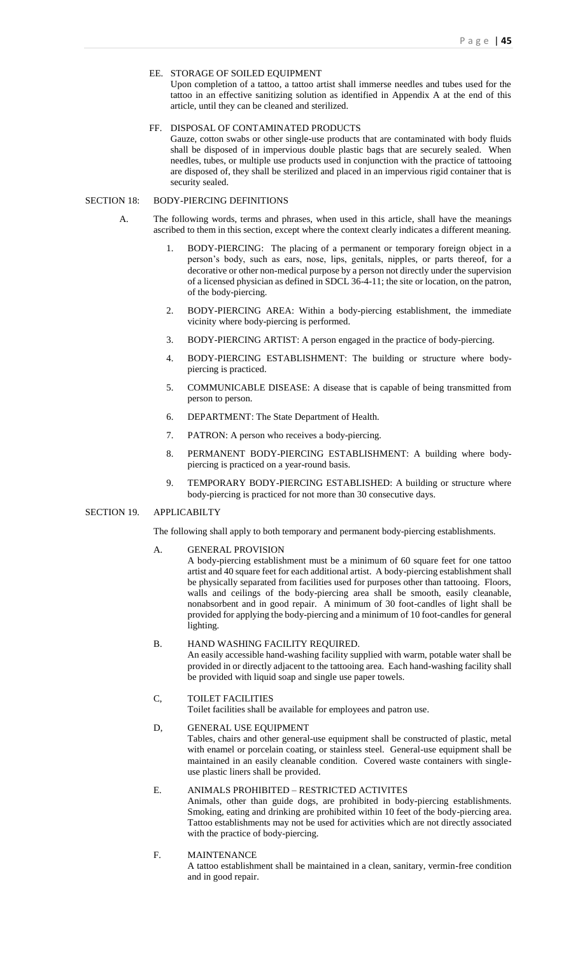## EE. STORAGE OF SOILED EQUIPMENT

Upon completion of a tattoo, a tattoo artist shall immerse needles and tubes used for the tattoo in an effective sanitizing solution as identified in Appendix A at the end of this article, until they can be cleaned and sterilized.

## FF. DISPOSAL OF CONTAMINATED PRODUCTS

Gauze, cotton swabs or other single-use products that are contaminated with body fluids shall be disposed of in impervious double plastic bags that are securely sealed. When needles, tubes, or multiple use products used in conjunction with the practice of tattooing are disposed of, they shall be sterilized and placed in an impervious rigid container that is security sealed.

## SECTION 18: BODY-PIERCING DEFINITIONS

- A. The following words, terms and phrases, when used in this article, shall have the meanings ascribed to them in this section, except where the context clearly indicates a different meaning.
	- 1. BODY-PIERCING: The placing of a permanent or temporary foreign object in a person's body, such as ears, nose, lips, genitals, nipples, or parts thereof, for a decorative or other non-medical purpose by a person not directly under the supervision of a licensed physician as defined in SDCL 36-4-11; the site or location, on the patron, of the body-piercing.
	- 2. BODY-PIERCING AREA: Within a body-piercing establishment, the immediate vicinity where body-piercing is performed.
	- 3. BODY-PIERCING ARTIST: A person engaged in the practice of body-piercing.
	- 4. BODY-PIERCING ESTABLISHMENT: The building or structure where bodypiercing is practiced.
	- 5. COMMUNICABLE DISEASE: A disease that is capable of being transmitted from person to person.
	- 6. DEPARTMENT: The State Department of Health.
	- 7. PATRON: A person who receives a body-piercing.
	- 8. PERMANENT BODY-PIERCING ESTABLISHMENT: A building where bodypiercing is practiced on a year-round basis.
	- 9. TEMPORARY BODY-PIERCING ESTABLISHED: A building or structure where body-piercing is practiced for not more than 30 consecutive days.

#### SECTION 19. APPLICABILTY

The following shall apply to both temporary and permanent body-piercing establishments.

## A. GENERAL PROVISION

A body-piercing establishment must be a minimum of 60 square feet for one tattoo artist and 40 square feet for each additional artist. A body-piercing establishment shall be physically separated from facilities used for purposes other than tattooing. Floors, walls and ceilings of the body-piercing area shall be smooth, easily cleanable, nonabsorbent and in good repair. A minimum of 30 foot-candles of light shall be provided for applying the body-piercing and a minimum of 10 foot-candles for general lighting.

#### B. HAND WASHING FACILITY REQUIRED.

An easily accessible hand-washing facility supplied with warm, potable water shall be provided in or directly adjacent to the tattooing area. Each hand-washing facility shall be provided with liquid soap and single use paper towels.

## C, TOILET FACILITIES

Toilet facilities shall be available for employees and patron use.

# D, GENERAL USE EQUIPMENT

Tables, chairs and other general-use equipment shall be constructed of plastic, metal with enamel or porcelain coating, or stainless steel. General-use equipment shall be maintained in an easily cleanable condition. Covered waste containers with singleuse plastic liners shall be provided.

## E. ANIMALS PROHIBITED – RESTRICTED ACTIVITES

Animals, other than guide dogs, are prohibited in body-piercing establishments. Smoking, eating and drinking are prohibited within 10 feet of the body-piercing area. Tattoo establishments may not be used for activities which are not directly associated with the practice of body-piercing.

F. MAINTENANCE

A tattoo establishment shall be maintained in a clean, sanitary, vermin-free condition and in good repair.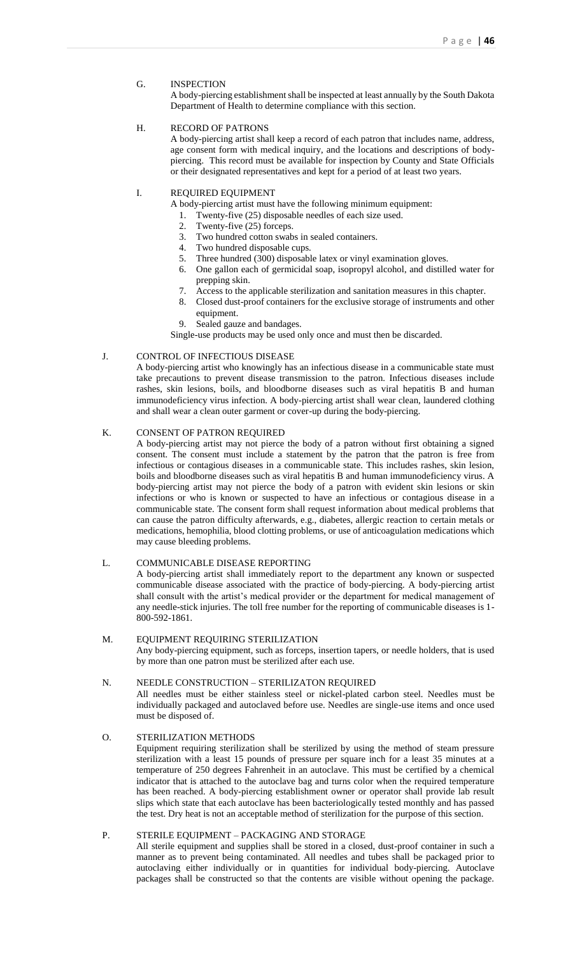G. INSPECTION

A body-piercing establishment shall be inspected at least annually by the South Dakota Department of Health to determine compliance with this section.

## H. RECORD OF PATRONS

A body-piercing artist shall keep a record of each patron that includes name, address, age consent form with medical inquiry, and the locations and descriptions of bodypiercing. This record must be available for inspection by County and State Officials or their designated representatives and kept for a period of at least two years.

## I. REQUIRED EQUIPMENT

A body-piercing artist must have the following minimum equipment:

- 1. Twenty-five (25) disposable needles of each size used.
- 2. Twenty-five (25) forceps.
- 3. Two hundred cotton swabs in sealed containers.
- 4. Two hundred disposable cups.
- 5. Three hundred  $(300)$  disposable latex or vinyl examination gloves.
- 6. One gallon each of germicidal soap, isopropyl alcohol, and distilled water for prepping skin.
- 7. Access to the applicable sterilization and sanitation measures in this chapter.
- 8. Closed dust-proof containers for the exclusive storage of instruments and other equipment.
- 9. Sealed gauze and bandages.

Single-use products may be used only once and must then be discarded.

## J. CONTROL OF INFECTIOUS DISEASE

A body-piercing artist who knowingly has an infectious disease in a communicable state must take precautions to prevent disease transmission to the patron. Infectious diseases include rashes, skin lesions, boils, and bloodborne diseases such as viral hepatitis B and human immunodeficiency virus infection. A body-piercing artist shall wear clean, laundered clothing and shall wear a clean outer garment or cover-up during the body-piercing.

## K. CONSENT OF PATRON REQUIRED

A body-piercing artist may not pierce the body of a patron without first obtaining a signed consent. The consent must include a statement by the patron that the patron is free from infectious or contagious diseases in a communicable state. This includes rashes, skin lesion, boils and bloodborne diseases such as viral hepatitis B and human immunodeficiency virus. A body-piercing artist may not pierce the body of a patron with evident skin lesions or skin infections or who is known or suspected to have an infectious or contagious disease in a communicable state. The consent form shall request information about medical problems that can cause the patron difficulty afterwards, e.g., diabetes, allergic reaction to certain metals or medications, hemophilia, blood clotting problems, or use of anticoagulation medications which may cause bleeding problems.

## L. COMMUNICABLE DISEASE REPORTING

A body-piercing artist shall immediately report to the department any known or suspected communicable disease associated with the practice of body-piercing. A body-piercing artist shall consult with the artist's medical provider or the department for medical management of any needle-stick injuries. The toll free number for the reporting of communicable diseases is 1- 800-592-1861.

## M. EQUIPMENT REQUIRING STERILIZATION

Any body-piercing equipment, such as forceps, insertion tapers, or needle holders, that is used by more than one patron must be sterilized after each use.

#### N. NEEDLE CONSTRUCTION – STERILIZATON REQUIRED

All needles must be either stainless steel or nickel-plated carbon steel. Needles must be individually packaged and autoclaved before use. Needles are single-use items and once used must be disposed of.

## O. STERILIZATION METHODS

Equipment requiring sterilization shall be sterilized by using the method of steam pressure sterilization with a least 15 pounds of pressure per square inch for a least 35 minutes at a temperature of 250 degrees Fahrenheit in an autoclave. This must be certified by a chemical indicator that is attached to the autoclave bag and turns color when the required temperature has been reached. A body-piercing establishment owner or operator shall provide lab result slips which state that each autoclave has been bacteriologically tested monthly and has passed the test. Dry heat is not an acceptable method of sterilization for the purpose of this section.

## P. STERILE EQUIPMENT – PACKAGING AND STORAGE

All sterile equipment and supplies shall be stored in a closed, dust-proof container in such a manner as to prevent being contaminated. All needles and tubes shall be packaged prior to autoclaving either individually or in quantities for individual body-piercing. Autoclave packages shall be constructed so that the contents are visible without opening the package.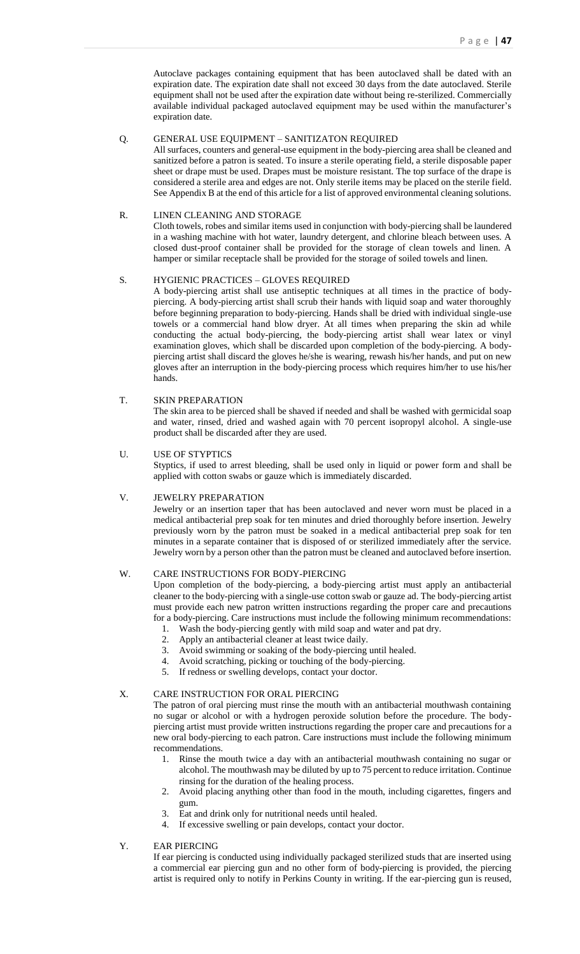Autoclave packages containing equipment that has been autoclaved shall be dated with an expiration date. The expiration date shall not exceed 30 days from the date autoclaved. Sterile equipment shall not be used after the expiration date without being re-sterilized. Commercially available individual packaged autoclaved equipment may be used within the manufacturer's expiration date.

## Q. GENERAL USE EQUIPMENT – SANITIZATON REQUIRED

All surfaces, counters and general-use equipment in the body-piercing area shall be cleaned and sanitized before a patron is seated. To insure a sterile operating field, a sterile disposable paper sheet or drape must be used. Drapes must be moisture resistant. The top surface of the drape is considered a sterile area and edges are not. Only sterile items may be placed on the sterile field. See Appendix B at the end of this article for a list of approved environmental cleaning solutions.

#### R. LINEN CLEANING AND STORAGE

Cloth towels, robes and similar items used in conjunction with body-piercing shall be laundered in a washing machine with hot water, laundry detergent, and chlorine bleach between uses. A closed dust-proof container shall be provided for the storage of clean towels and linen. A hamper or similar receptacle shall be provided for the storage of soiled towels and linen.

#### S. HYGIENIC PRACTICES – GLOVES REQUIRED

A body-piercing artist shall use antiseptic techniques at all times in the practice of bodypiercing. A body-piercing artist shall scrub their hands with liquid soap and water thoroughly before beginning preparation to body-piercing. Hands shall be dried with individual single-use towels or a commercial hand blow dryer. At all times when preparing the skin ad while conducting the actual body-piercing, the body-piercing artist shall wear latex or vinyl examination gloves, which shall be discarded upon completion of the body-piercing. A bodypiercing artist shall discard the gloves he/she is wearing, rewash his/her hands, and put on new gloves after an interruption in the body-piercing process which requires him/her to use his/her hands.

#### T. SKIN PREPARATION

The skin area to be pierced shall be shaved if needed and shall be washed with germicidal soap and water, rinsed, dried and washed again with 70 percent isopropyl alcohol. A single-use product shall be discarded after they are used.

#### U. USE OF STYPTICS

Styptics, if used to arrest bleeding, shall be used only in liquid or power form and shall be applied with cotton swabs or gauze which is immediately discarded.

## V. JEWELRY PREPARATION

Jewelry or an insertion taper that has been autoclaved and never worn must be placed in a medical antibacterial prep soak for ten minutes and dried thoroughly before insertion. Jewelry previously worn by the patron must be soaked in a medical antibacterial prep soak for ten minutes in a separate container that is disposed of or sterilized immediately after the service. Jewelry worn by a person other than the patron must be cleaned and autoclaved before insertion.

## W. CARE INSTRUCTIONS FOR BODY-PIERCING

Upon completion of the body-piercing, a body-piercing artist must apply an antibacterial cleaner to the body-piercing with a single-use cotton swab or gauze ad. The body-piercing artist must provide each new patron written instructions regarding the proper care and precautions for a body-piercing. Care instructions must include the following minimum recommendations:

- 1. Wash the body-piercing gently with mild soap and water and pat dry.
- 2. Apply an antibacterial cleaner at least twice daily.
- 3. Avoid swimming or soaking of the body-piercing until healed.
- 4. Avoid scratching, picking or touching of the body-piercing.
- 5. If redness or swelling develops, contact your doctor.

#### X. CARE INSTRUCTION FOR ORAL PIERCING

The patron of oral piercing must rinse the mouth with an antibacterial mouthwash containing no sugar or alcohol or with a hydrogen peroxide solution before the procedure. The bodypiercing artist must provide written instructions regarding the proper care and precautions for a new oral body-piercing to each patron. Care instructions must include the following minimum recommendations.

- 1. Rinse the mouth twice a day with an antibacterial mouthwash containing no sugar or alcohol. The mouthwash may be diluted by up to 75 percent to reduce irritation. Continue rinsing for the duration of the healing process.
- 2. Avoid placing anything other than food in the mouth, including cigarettes, fingers and gum.
- 3. Eat and drink only for nutritional needs until healed.
- 4. If excessive swelling or pain develops, contact your doctor.

#### Y. EAR PIERCING

If ear piercing is conducted using individually packaged sterilized studs that are inserted using a commercial ear piercing gun and no other form of body-piercing is provided, the piercing artist is required only to notify in Perkins County in writing. If the ear-piercing gun is reused,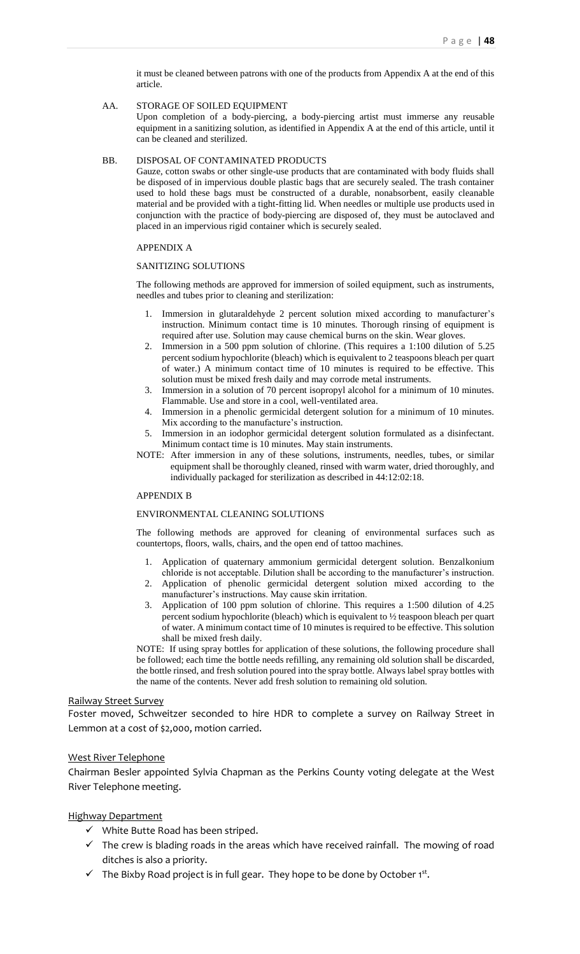it must be cleaned between patrons with one of the products from Appendix A at the end of this article.

#### AA. STORAGE OF SOILED EQUIPMENT

Upon completion of a body-piercing, a body-piercing artist must immerse any reusable equipment in a sanitizing solution, as identified in Appendix A at the end of this article, until it can be cleaned and sterilized.

#### BB. DISPOSAL OF CONTAMINATED PRODUCTS

Gauze, cotton swabs or other single-use products that are contaminated with body fluids shall be disposed of in impervious double plastic bags that are securely sealed. The trash container used to hold these bags must be constructed of a durable, nonabsorbent, easily cleanable material and be provided with a tight-fitting lid. When needles or multiple use products used in conjunction with the practice of body-piercing are disposed of, they must be autoclaved and placed in an impervious rigid container which is securely sealed.

## APPENDIX A

## SANITIZING SOLUTIONS

The following methods are approved for immersion of soiled equipment, such as instruments, needles and tubes prior to cleaning and sterilization:

- 1. Immersion in glutaraldehyde 2 percent solution mixed according to manufacturer's instruction. Minimum contact time is 10 minutes. Thorough rinsing of equipment is required after use. Solution may cause chemical burns on the skin. Wear gloves.
- 2. Immersion in a 500 ppm solution of chlorine. (This requires a 1:100 dilution of 5.25 percent sodium hypochlorite (bleach) which is equivalent to 2 teaspoons bleach per quart of water.) A minimum contact time of 10 minutes is required to be effective. This solution must be mixed fresh daily and may corrode metal instruments.
- 3. Immersion in a solution of 70 percent isopropyl alcohol for a minimum of 10 minutes. Flammable. Use and store in a cool, well-ventilated area.
- 4. Immersion in a phenolic germicidal detergent solution for a minimum of 10 minutes. Mix according to the manufacture's instruction.
- 5. Immersion in an iodophor germicidal detergent solution formulated as a disinfectant. Minimum contact time is 10 minutes. May stain instruments.
- NOTE: After immersion in any of these solutions, instruments, needles, tubes, or similar equipment shall be thoroughly cleaned, rinsed with warm water, dried thoroughly, and individually packaged for sterilization as described in 44:12:02:18.

#### APPENDIX B

## ENVIRONMENTAL CLEANING SOLUTIONS

The following methods are approved for cleaning of environmental surfaces such as countertops, floors, walls, chairs, and the open end of tattoo machines.

- 1. Application of quaternary ammonium germicidal detergent solution. Benzalkonium chloride is not acceptable. Dilution shall be according to the manufacturer's instruction.
- 2. Application of phenolic germicidal detergent solution mixed according to the manufacturer's instructions. May cause skin irritation.
- 3. Application of 100 ppm solution of chlorine. This requires a 1:500 dilution of 4.25 percent sodium hypochlorite (bleach) which is equivalent to ½ teaspoon bleach per quart of water. A minimum contact time of 10 minutes is required to be effective. This solution shall be mixed fresh daily.

NOTE: If using spray bottles for application of these solutions, the following procedure shall be followed; each time the bottle needs refilling, any remaining old solution shall be discarded, the bottle rinsed, and fresh solution poured into the spray bottle. Always label spray bottles with the name of the contents. Never add fresh solution to remaining old solution.

## Railway Street Survey

Foster moved, Schweitzer seconded to hire HDR to complete a survey on Railway Street in Lemmon at a cost of \$2,000, motion carried.

## West River Telephone

Chairman Besler appointed Sylvia Chapman as the Perkins County voting delegate at the West River Telephone meeting.

## Highway Department

- $\checkmark$  White Butte Road has been striped.
- $\checkmark$  The crew is blading roads in the areas which have received rainfall. The mowing of road ditches is also a priority.
- $\checkmark$  The Bixby Road project is in full gear. They hope to be done by October 1st.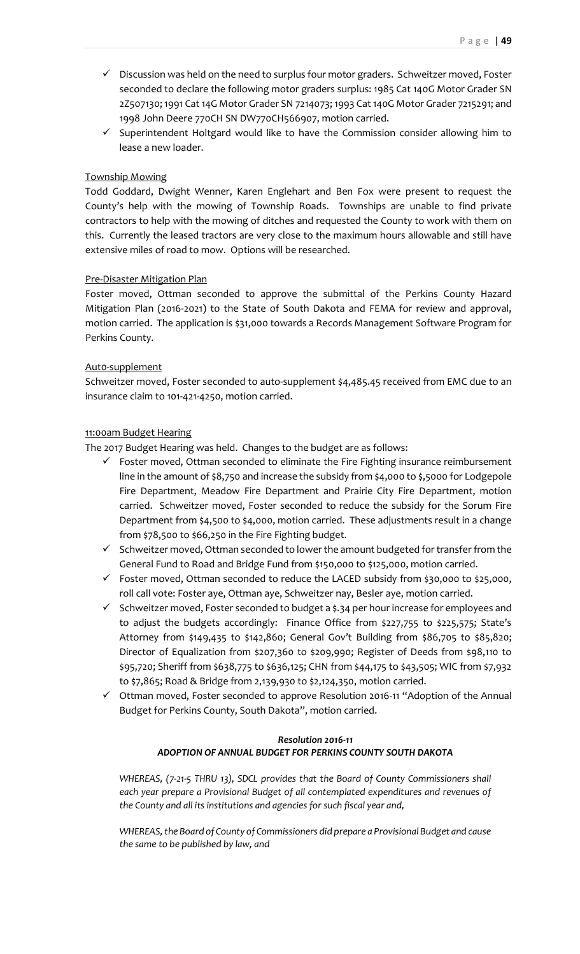- $\checkmark$  Discussion was held on the need to surplus four motor graders. Schweitzer moved, Foster seconded to declare the following motor graders surplus: 1985 Cat 140G Motor Grader SN 2Z507130; 1991 Cat 14G Motor Grader SN 7214073; 1993 Cat 140G Motor Grader 7215291; and 1998 John Deere 770CH SN DW770CH566907, motion carried.
- $\checkmark$  Superintendent Holtgard would like to have the Commission consider allowing him to lease a new loader.

# Township Mowing

Todd Goddard, Dwight Wenner, Karen Englehart and Ben Fox were present to request the County's help with the mowing of Township Roads. Townships are unable to find private contractors to help with the mowing of ditches and requested the County to work with them on this. Currently the leased tractors are very close to the maximum hours allowable and still have extensive miles of road to mow. Options will be researched.

# Pre-Disaster Mitigation Plan

Foster moved, Ottman seconded to approve the submittal of the Perkins County Hazard Mitigation Plan (2016-2021) to the State of South Dakota and FEMA for review and approval, motion carried. The application is \$31,000 towards a Records Management Software Program for Perkins County.

# Aut0-supplement

Schweitzer moved, Foster seconded to auto-supplement \$4,485.45 received from EMC due to an insurance claim to 101-421-4250, motion carried.

# 11:00am Budget Hearing

The 2017 Budget Hearing was held. Changes to the budget are as follows:

- $\checkmark$  Foster moved, Ottman seconded to eliminate the Fire Fighting insurance reimbursement line in the amount of \$8,750 and increase the subsidy from \$4,000 to \$,5000 for Lodgepole Fire Department, Meadow Fire Department and Prairie City Fire Department, motion carried. Schweitzer moved, Foster seconded to reduce the subsidy for the Sorum Fire Department from \$4,500 to \$4,000, motion carried. These adjustments result in a change from \$78,500 to \$66,250 in the Fire Fighting budget.
- $\checkmark$  Schweitzer moved, Ottman seconded to lower the amount budgeted for transfer from the General Fund to Road and Bridge Fund from \$150,000 to \$125,000, motion carried.
- Foster moved, Ottman seconded to reduce the LACED subsidy from \$30,000 to \$25,000, roll call vote: Foster aye, Ottman aye, Schweitzer nay, Besler aye, motion carried.
- $\checkmark$  Schweitzer moved, Foster seconded to budget a \$.34 per hour increase for employees and to adjust the budgets accordingly: Finance Office from \$227,755 to \$225,575; State's Attorney from \$149,435 to \$142,860; General Gov't Building from \$86,705 to \$85,820; Director of Equalization from \$207,360 to \$209,990; Register of Deeds from \$98,110 to \$95,720; Sheriff from \$638,775 to \$636,125; CHN from \$44,175 to \$43,505; WIC from \$7,932 to \$7,865; Road & Bridge from 2,139,930 to \$2,124,350, motion carried.
- Ottman moved, Foster seconded to approve Resolution 2016-11 "Adoption of the Annual Budget for Perkins County, South Dakota", motion carried.

# *Resolution 2016-11 ADOPTION OF ANNUAL BUDGET FOR PERKINS COUNTY SOUTH DAKOTA*

*WHEREAS, (7-21-5 THRU 13), SDCL provides that the Board of County Commissioners shall each year prepare a Provisional Budget of all contemplated expenditures and revenues of the County and all its institutions and agencies for such fiscal year and,* 

*WHEREAS, the Board of County of Commissioners did prepare a Provisional Budget and cause the same to be published by law, and*